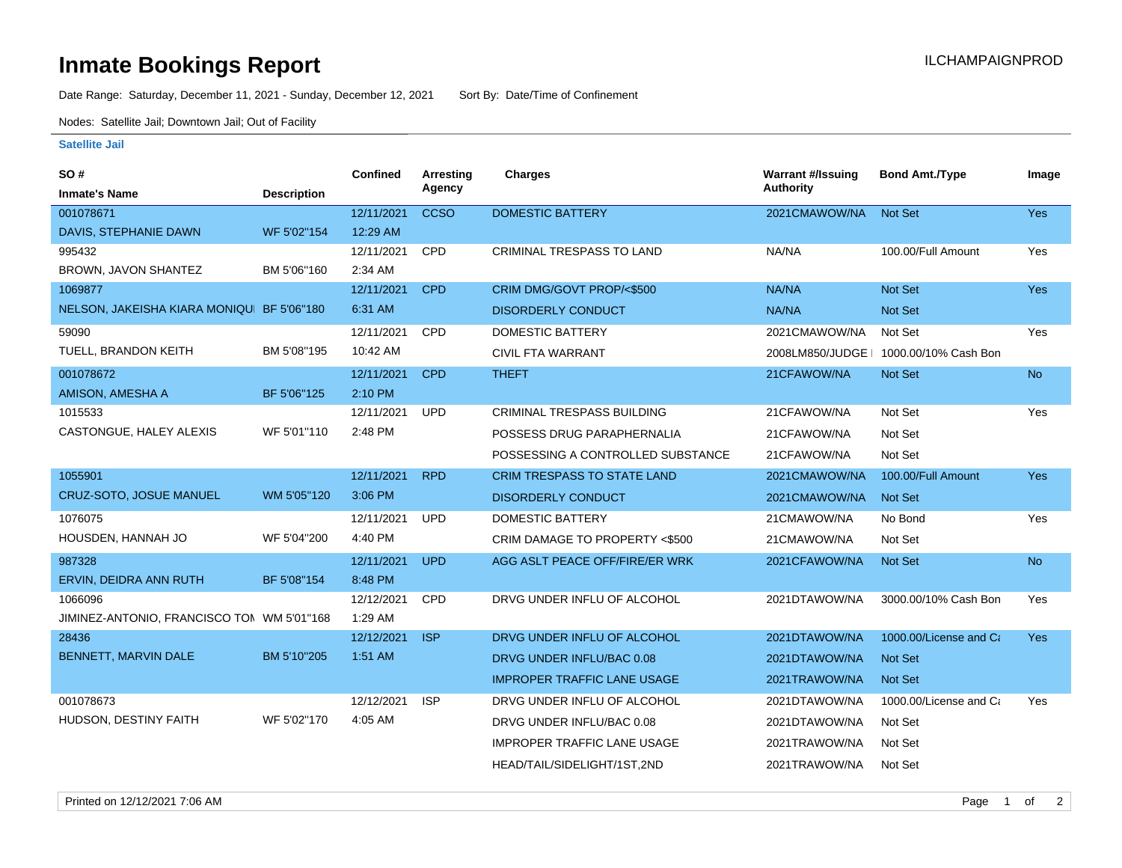## **Inmate Bookings Report International Contract Contract Contract Contract Contract Contract Contract Contract Contract Contract Contract Contract Contract Contract Contract Contract Contract Contract Contract Contract Co**

Date Range: Saturday, December 11, 2021 - Sunday, December 12, 2021 Sort By: Date/Time of Confinement

Nodes: Satellite Jail; Downtown Jail; Out of Facility

## **Satellite Jail**

| SO#                                        |                    | <b>Confined</b> | <b>Arresting</b> | <b>Charges</b>                     | <b>Warrant #/Issuing</b> | <b>Bond Amt./Type</b>                  | Image      |
|--------------------------------------------|--------------------|-----------------|------------------|------------------------------------|--------------------------|----------------------------------------|------------|
| <b>Inmate's Name</b>                       | <b>Description</b> |                 | Agency           |                                    | Authority                |                                        |            |
| 001078671                                  |                    | 12/11/2021      | <b>CCSO</b>      | <b>DOMESTIC BATTERY</b>            | 2021CMAWOW/NA            | <b>Not Set</b>                         | Yes        |
| DAVIS, STEPHANIE DAWN                      | WF 5'02"154        | 12:29 AM        |                  |                                    |                          |                                        |            |
| 995432                                     |                    | 12/11/2021      | <b>CPD</b>       | <b>CRIMINAL TRESPASS TO LAND</b>   | NA/NA                    | 100.00/Full Amount                     | Yes        |
| BROWN, JAVON SHANTEZ                       | BM 5'06"160        | 2:34 AM         |                  |                                    |                          |                                        |            |
| 1069877                                    |                    | 12/11/2021      | <b>CPD</b>       | CRIM DMG/GOVT PROP/<\$500          | NA/NA                    | Not Set                                | Yes        |
| NELSON, JAKEISHA KIARA MONIQU BF 5'06"180  |                    | 6:31 AM         |                  | <b>DISORDERLY CONDUCT</b>          | NA/NA                    | <b>Not Set</b>                         |            |
| 59090                                      |                    | 12/11/2021      | <b>CPD</b>       | <b>DOMESTIC BATTERY</b>            | 2021CMAWOW/NA            | Not Set                                | Yes        |
| TUELL, BRANDON KEITH                       | BM 5'08"195        | 10:42 AM        |                  | CIVIL FTA WARRANT                  |                          | 2008LM850/JUDGE   1000.00/10% Cash Bon |            |
| 001078672                                  |                    | 12/11/2021      | <b>CPD</b>       | <b>THEFT</b>                       | 21CFAWOW/NA              | Not Set                                | <b>No</b>  |
| AMISON, AMESHA A                           | BF 5'06"125        | 2:10 PM         |                  |                                    |                          |                                        |            |
| 1015533                                    |                    | 12/11/2021      | <b>UPD</b>       | <b>CRIMINAL TRESPASS BUILDING</b>  | 21CFAWOW/NA              | Not Set                                | Yes        |
| CASTONGUE, HALEY ALEXIS                    | WF 5'01"110        | 2:48 PM         |                  | POSSESS DRUG PARAPHERNALIA         | 21CFAWOW/NA              | Not Set                                |            |
|                                            |                    |                 |                  | POSSESSING A CONTROLLED SUBSTANCE  | 21CFAWOW/NA              | Not Set                                |            |
| 1055901                                    |                    | 12/11/2021      | <b>RPD</b>       | <b>CRIM TRESPASS TO STATE LAND</b> | 2021CMAWOW/NA            | 100.00/Full Amount                     | Yes        |
| <b>CRUZ-SOTO, JOSUE MANUEL</b>             | WM 5'05"120        | 3:06 PM         |                  | <b>DISORDERLY CONDUCT</b>          | 2021CMAWOW/NA            | <b>Not Set</b>                         |            |
| 1076075                                    |                    | 12/11/2021      | <b>UPD</b>       | <b>DOMESTIC BATTERY</b>            | 21CMAWOW/NA              | No Bond                                | Yes        |
| HOUSDEN, HANNAH JO                         | WF 5'04"200        | 4:40 PM         |                  | CRIM DAMAGE TO PROPERTY <\$500     | 21CMAWOW/NA              | Not Set                                |            |
| 987328                                     |                    | 12/11/2021      | <b>UPD</b>       | AGG ASLT PEACE OFF/FIRE/ER WRK     | 2021CFAWOW/NA            | <b>Not Set</b>                         | No.        |
| ERVIN, DEIDRA ANN RUTH                     | BF 5'08"154        | 8:48 PM         |                  |                                    |                          |                                        |            |
| 1066096                                    |                    | 12/12/2021      | <b>CPD</b>       | DRVG UNDER INFLU OF ALCOHOL        | 2021DTAWOW/NA            | 3000.00/10% Cash Bon                   | Yes        |
| JIMINEZ-ANTONIO, FRANCISCO TOI WM 5'01"168 |                    | 1:29 AM         |                  |                                    |                          |                                        |            |
| 28436                                      |                    | 12/12/2021      | <b>ISP</b>       | DRVG UNDER INFLU OF ALCOHOL        | 2021DTAWOW/NA            | 1000.00/License and Ca                 | <b>Yes</b> |
| BENNETT, MARVIN DALE                       | BM 5'10"205        | 1:51 AM         |                  | DRVG UNDER INFLU/BAC 0.08          | 2021DTAWOW/NA            | Not Set                                |            |
|                                            |                    |                 |                  | <b>IMPROPER TRAFFIC LANE USAGE</b> | 2021TRAWOW/NA            | <b>Not Set</b>                         |            |
| 001078673                                  |                    | 12/12/2021      | <b>ISP</b>       | DRVG UNDER INFLU OF ALCOHOL        | 2021DTAWOW/NA            | 1000.00/License and Ca                 | Yes        |
| HUDSON, DESTINY FAITH                      | WF 5'02"170        | 4:05 AM         |                  | DRVG UNDER INFLU/BAC 0.08          | 2021DTAWOW/NA            | Not Set                                |            |
|                                            |                    |                 |                  | <b>IMPROPER TRAFFIC LANE USAGE</b> | 2021TRAWOW/NA            | Not Set                                |            |
|                                            |                    |                 |                  | HEAD/TAIL/SIDELIGHT/1ST,2ND        | 2021TRAWOW/NA            | Not Set                                |            |